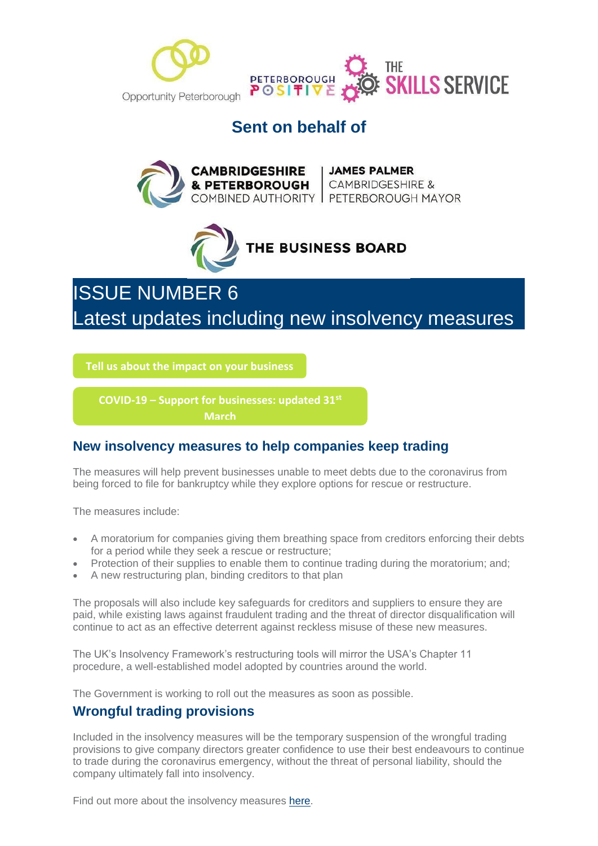

# **Sent on behalf of**





# ISSUE NUMBER 6 Latest updates including new insolvency measures

**[Tell us about the impact on your business](https://mills.createsend1.com/t/d-l-mtluta-l-r/)**

**COVID-19 – [Support for businesses: updated 31](https://www.gov.uk/government/publications/guidance-to-employers-and-businesses-about-covid-19/covid-19-support-for-businesses?utm_campaign=Covid-19%20Business%20Resilience&utm_source=hs_email&utm_medium=email&utm_content=85504389&_hsenc=p2ANqtz-92rSnHMr6Z8U58bUkVodxQmurX0TRavVZPeq9AIQvEM-DMbiJbbgX17t1DhfOwBoQChHBzQ-wIXjYuqDKD1PMqvzd6jJ4LJVZ5fYKSgmfFpUFg6RRKj-S7wCDiMnc8ehs3UP_c&_hsmi=85504389)st March**

### **New insolvency measures to help companies keep trading**

The measures will help prevent businesses unable to meet debts due to the coronavirus from being forced to file for bankruptcy while they explore options for rescue or restructure.

The measures include:

- A moratorium for companies giving them breathing space from creditors enforcing their debts for a period while they seek a rescue or restructure;
- Protection of their supplies to enable them to continue trading during the moratorium; and;
- A new restructuring plan, binding creditors to that plan

The proposals will also include key safeguards for creditors and suppliers to ensure they are paid, while existing laws against fraudulent trading and the threat of director disqualification will continue to act as an effective deterrent against reckless misuse of these new measures.

The UK's Insolvency Framework's restructuring tools will mirror the USA's Chapter 11 procedure, a well-established model adopted by countries around the world.

The Government is working to roll out the measures as soon as possible.

### **Wrongful trading provisions**

Included in the insolvency measures will be the temporary suspension of the wrongful trading provisions to give company directors greater confidence to use their best endeavours to continue to trade during the coronavirus emergency, without the threat of personal liability, should the company ultimately fall into insolvency.

Find out more about the insolvency measures [here.](https://mills.createsend1.com/t/d-l-mtluta-l-j/)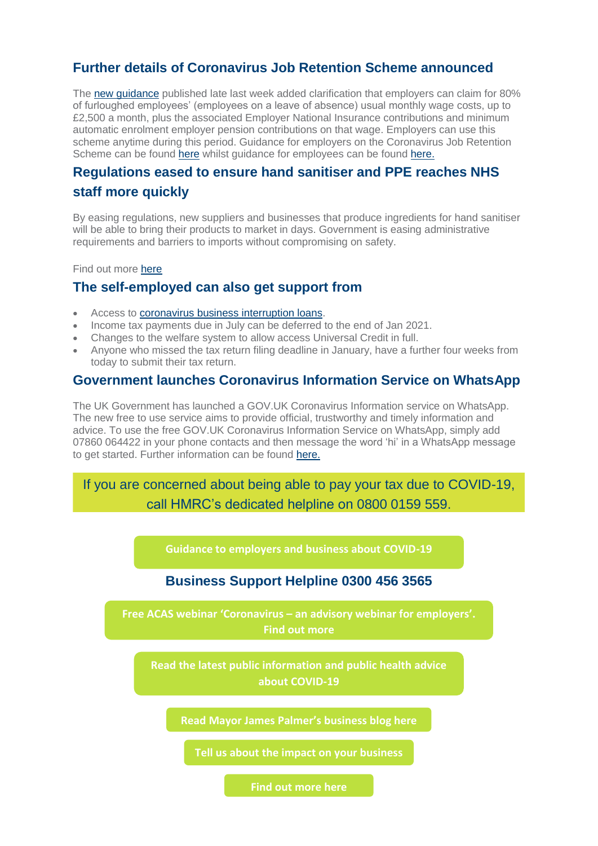### **Further details of Coronavirus Job Retention Scheme announced**

The [new guidance](https://mills.createsend1.com/t/d-l-mtluta-l-t/) published late last week added clarification that employers can claim for 80% of furloughed employees' (employees on a leave of absence) usual monthly wage costs, up to £2,500 a month, plus the associated Employer National Insurance contributions and minimum automatic enrolment employer pension contributions on that wage. Employers can use this scheme anytime during this period. Guidance for employers on the Coronavirus Job Retention Scheme can be found [here](https://mills.createsend1.com/t/d-l-mtluta-l-i/) whilst guidance for employees can be found [here.](https://mills.createsend1.com/t/d-l-mtluta-l-d/)

## **Regulations eased to ensure hand sanitiser and PPE reaches NHS staff more quickly**

By easing regulations, new suppliers and businesses that produce ingredients for hand sanitiser will be able to bring their products to market in days. Government is easing administrative requirements and barriers to imports without compromising on safety.

Find out more [here](https://mills.createsend1.com/t/d-l-mtluta-l-h/)

### **The self-employed can also get support from**

- Access to [coronavirus business interruption loans.](https://mills.createsend1.com/t/d-l-mtluta-l-k/)
- Income tax payments due in July can be deferred to the end of Jan 2021.
- Changes to the welfare system to allow access Universal Credit in full.
- Anyone who missed the tax return filing deadline in January, have a further four weeks from today to submit their tax return.

#### **Government launches Coronavirus Information Service on WhatsApp**

The UK Government has launched a GOV.UK Coronavirus Information service on WhatsApp. The new free to use service aims to provide official, trustworthy and timely information and advice. To use the free GOV.UK Coronavirus Information Service on WhatsApp, simply add 07860 064422 in your phone contacts and then message the word 'hi' in a WhatsApp message to get started. Further information can be found [here.](https://mills.createsend1.com/t/d-l-mtluta-l-u/)

If you are concerned about being able to pay your tax due to COVID-19, call HMRC's dedicated helpline on 0800 0159 559.

**Business Support Helpline 0300 456 3565 [Tell us about the impact on your business](https://mills.createsend1.com/t/d-l-mtluta-l-x/) [Read Mayor James Palmer](https://mills.createsend1.com/t/d-l-mtluta-l-p/)'s business blog here [Read the latest public information and public health advice](https://mills.createsend1.com/t/d-l-mtluta-l-n/)  about COVID-19 Free ACAS webinar 'Coronavirus – [an advisory webinar for employers](https://mills.createsend1.com/t/d-l-mtluta-l-b/)'. Find out more [Guidance to employers and business about COVID-19](https://www.gov.uk/government/publications/guidance-to-employers-and-businesses-about-covid-19?utm_source=hs_email&utm_medium=email&utm_content=2&_hsenc=p2ANqtz-_8ljY9XCSyZgA-bjEYY70PPuuQgpUq3XKA9eXRcCbNQavh2grL5YNnxRuUCHzo_NG1TwyswVSqbTxvjSdI8kKPs9ziTRtLXSKkJr3zZxxflxhr8UGsSkqdZat4Hb3dwv7uEeH9&_hsmi=2)**

**[Find out more here](https://ventilator.herokuapp.com/?utm_source=hs_email&utm_medium=email&utm_content=2&_hsenc=p2ANqtz-_8ljY9XCSyZgA-bjEYY70PPuuQgpUq3XKA9eXRcCbNQavh2grL5YNnxRuUCHzo_NG1TwyswVSqbTxvjSdI8kKPs9ziTRtLXSKkJr3zZxxflxhr8UGsSkqdZat4Hb3dwv7uEeH9&_hsmi=2)**